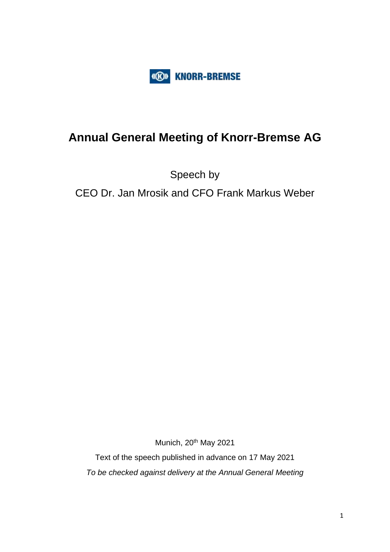

# **Annual General Meeting of Knorr-Bremse AG**

Speech by

CEO Dr. Jan Mrosik and CFO Frank Markus Weber

Munich, 20<sup>th</sup> May 2021

Text of the speech published in advance on 17 May 2021 *To be checked against delivery at the Annual General Meeting*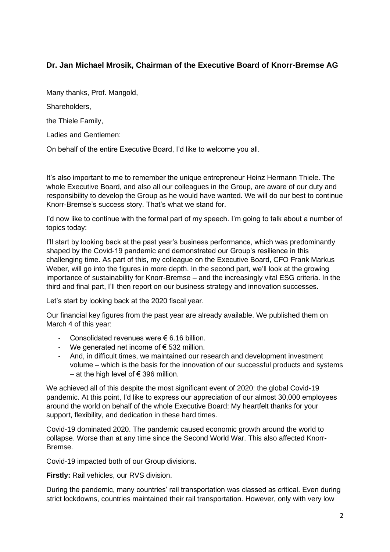## **Dr. Jan Michael Mrosik, Chairman of the Executive Board of Knorr-Bremse AG**

Many thanks, Prof. Mangold,

Shareholders,

the Thiele Family,

Ladies and Gentlemen:

On behalf of the entire Executive Board, I'd like to welcome you all.

It's also important to me to remember the unique entrepreneur Heinz Hermann Thiele. The whole Executive Board, and also all our colleagues in the Group, are aware of our duty and responsibility to develop the Group as he would have wanted. We will do our best to continue Knorr-Bremse's success story. That's what we stand for.

I'd now like to continue with the formal part of my speech. I'm going to talk about a number of topics today:

I'll start by looking back at the past year's business performance, which was predominantly shaped by the Covid-19 pandemic and demonstrated our Group's resilience in this challenging time. As part of this, my colleague on the Executive Board, CFO Frank Markus Weber, will go into the figures in more depth. In the second part, we'll look at the growing importance of sustainability for Knorr-Bremse – and the increasingly vital ESG criteria. In the third and final part, I'll then report on our business strategy and innovation successes.

Let's start by looking back at the 2020 fiscal year.

Our financial key figures from the past year are already available. We published them on March 4 of this year:

- Consolidated revenues were € 6.16 billion.
- We generated net income of  $\epsilon$  532 million.
- And, in difficult times, we maintained our research and development investment volume – which is the basis for the innovation of our successful products and systems – at the high level of € 396 million.

We achieved all of this despite the most significant event of 2020: the global Covid-19 pandemic. At this point, I'd like to express our appreciation of our almost 30,000 employees around the world on behalf of the whole Executive Board: My heartfelt thanks for your support, flexibility, and dedication in these hard times.

Covid-19 dominated 2020. The pandemic caused economic growth around the world to collapse. Worse than at any time since the Second World War. This also affected Knorr-Bremse.

Covid-19 impacted both of our Group divisions.

**Firstly:** Rail vehicles, our RVS division.

During the pandemic, many countries' rail transportation was classed as critical. Even during strict lockdowns, countries maintained their rail transportation. However, only with very low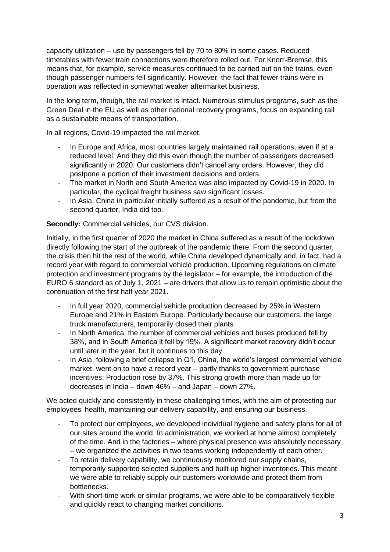capacity utilization – use by passengers fell by 70 to 80% in some cases. Reduced timetables with fewer train connections were therefore rolled out. For Knorr-Bremse, this means that, for example, service measures continued to be carried out on the trains, even though passenger numbers fell significantly. However, the fact that fewer trains were in operation was reflected in somewhat weaker aftermarket business.

In the long term, though, the rail market is intact. Numerous stimulus programs, such as the Green Deal in the EU as well as other national recovery programs, focus on expanding rail as a sustainable means of transportation.

In all regions, Covid-19 impacted the rail market.

- In Europe and Africa, most countries largely maintained rail operations, even if at a reduced level. And they did this even though the number of passengers decreased significantly in 2020. Our customers didn't cancel any orders. However, they did postpone a portion of their investment decisions and orders.
- The market in North and South America was also impacted by Covid-19 in 2020. In particular, the cyclical freight business saw significant losses.
- In Asia, China in particular initially suffered as a result of the pandemic, but from the second quarter, India did too.

**Secondly:** Commercial vehicles, our CVS division.

Initially, in the first quarter of 2020 the market in China suffered as a result of the lockdown directly following the start of the outbreak of the pandemic there. From the second quarter, the crisis then hit the rest of the world, while China developed dynamically and, in fact, had a record year with regard to commercial vehicle production. Upcoming regulations on climate protection and investment programs by the legislator – for example, the introduction of the EURO 6 standard as of July 1, 2021 – are drivers that allow us to remain optimistic about the continuation of the first half year 2021.

- In full year 2020, commercial vehicle production decreased by 25% in Western Europe and 21% in Eastern Europe. Particularly because our customers, the large truck manufacturers, temporarily closed their plants.
- In North America, the number of commercial vehicles and buses produced fell by 38%, and in South America it fell by 19%. A significant market recovery didn't occur until later in the year, but it continues to this day.
- In Asia, following a brief collapse in Q1, China, the world's largest commercial vehicle market, went on to have a record year – partly thanks to government purchase incentives: Production rose by 37%. This strong growth more than made up for decreases in India – down 46% – and Japan – down 27%.

We acted quickly and consistently in these challenging times, with the aim of protecting our employees' health, maintaining our delivery capability, and ensuring our business.

- To protect our employees, we developed individual hygiene and safety plans for all of our sites around the world. In administration, we worked at home almost completely of the time. And in the factories – where physical presence was absolutely necessary – we organized the activities in two teams working independently of each other.
- To retain delivery capability, we continuously monitored our supply chains, temporarily supported selected suppliers and built up higher inventories. This meant we were able to reliably supply our customers worldwide and protect them from bottlenecks.
- With short-time work or similar programs, we were able to be comparatively flexible and quickly react to changing market conditions.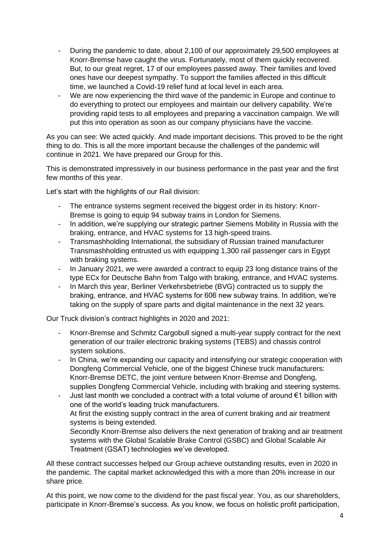- During the pandemic to date, about 2,100 of our approximately 29,500 employees at Knorr-Bremse have caught the virus. Fortunately, most of them quickly recovered. But, to our great regret, 17 of our employees passed away. Their families and loved ones have our deepest sympathy. To support the families affected in this difficult time, we launched a Covid-19 relief fund at local level in each area.
- We are now experiencing the third wave of the pandemic in Europe and continue to do everything to protect our employees and maintain our delivery capability. We're providing rapid tests to all employees and preparing a vaccination campaign. We will put this into operation as soon as our company physicians have the vaccine.

As you can see: We acted quickly. And made important decisions. This proved to be the right thing to do. This is all the more important because the challenges of the pandemic will continue in 2021. We have prepared our Group for this.

This is demonstrated impressively in our business performance in the past year and the first few months of this year.

Let's start with the highlights of our Rail division:

- The entrance systems segment received the biggest order in its history: Knorr-Bremse is going to equip 94 subway trains in London for Siemens.
- In addition, we're supplying our strategic partner Siemens Mobility in Russia with the braking, entrance, and HVAC systems for 13 high-speed trains.
- Transmashholding International, the subsidiary of Russian trained manufacturer Transmashholding entrusted us with equipping 1,300 rail passenger cars in Egypt with braking systems.
- In January 2021, we were awarded a contract to equip 23 long distance trains of the type ECx for Deutsche Bahn from Talgo with braking, entrance, and HVAC systems.
- In March this year, Berliner Verkehrsbetriebe (BVG) contracted us to supply the braking, entrance, and HVAC systems for 606 new subway trains. In addition, we're taking on the supply of spare parts and digital maintenance in the next 32 years.

Our Truck division's contract highlights in 2020 and 2021:

- Knorr-Bremse and Schmitz Cargobull signed a multi-year supply contract for the next generation of our trailer electronic braking systems (TEBS) and chassis control system solutions.
- In China, we're expanding our capacity and intensifying our strategic cooperation with Dongfeng Commercial Vehicle, one of the biggest Chinese truck manufacturers: Knorr-Bremse DETC, the joint venture between Knorr-Bremse and Dongfeng, supplies Dongfeng Commercial Vehicle, including with braking and steering systems.
- Just last month we concluded a contract with a total volume of around  $\epsilon$ 1 billion with one of the world's leading truck manufacturers. At first the existing supply contract in the area of current braking and air treatment systems is being extended.

Secondly Knorr-Bremse also delivers the next generation of braking and air treatment systems with the Global Scalable Brake Control (GSBC) and Global Scalable Air Treatment (GSAT) technologies we've developed.

All these contract successes helped our Group achieve outstanding results, even in 2020 in the pandemic. The capital market acknowledged this with a more than 20% increase in our share price.

At this point, we now come to the dividend for the past fiscal year. You, as our shareholders, participate in Knorr-Bremse's success. As you know, we focus on holistic profit participation,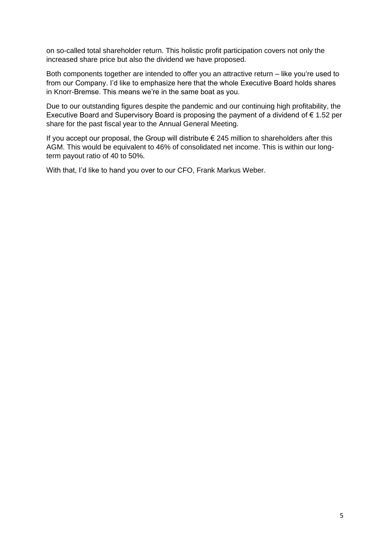on so-called total shareholder return. This holistic profit participation covers not only the increased share price but also the dividend we have proposed.

Both components together are intended to offer you an attractive return – like you're used to from our Company. I'd like to emphasize here that the whole Executive Board holds shares in Knorr-Bremse. This means we're in the same boat as you.

Due to our outstanding figures despite the pandemic and our continuing high profitability, the Executive Board and Supervisory Board is proposing the payment of a dividend of € 1.52 per share for the past fiscal year to the Annual General Meeting.

If you accept our proposal, the Group will distribute  $\epsilon$  245 million to shareholders after this AGM. This would be equivalent to 46% of consolidated net income. This is within our longterm payout ratio of 40 to 50%.

With that, I'd like to hand you over to our CFO, Frank Markus Weber.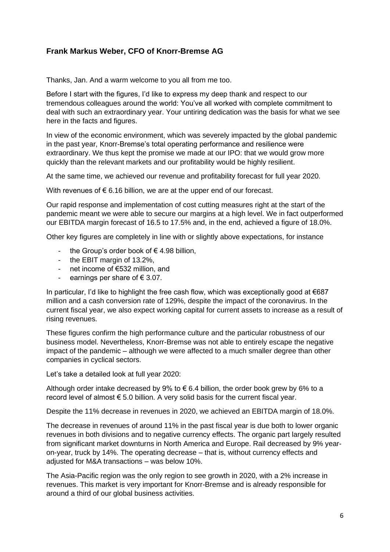### **Frank Markus Weber, CFO of Knorr-Bremse AG**

Thanks, Jan. And a warm welcome to you all from me too.

Before I start with the figures, I'd like to express my deep thank and respect to our tremendous colleagues around the world: You've all worked with complete commitment to deal with such an extraordinary year. Your untiring dedication was the basis for what we see here in the facts and figures.

In view of the economic environment, which was severely impacted by the global pandemic in the past year, Knorr-Bremse's total operating performance and resilience were extraordinary. We thus kept the promise we made at our IPO: that we would grow more quickly than the relevant markets and our profitability would be highly resilient.

At the same time, we achieved our revenue and profitability forecast for full year 2020.

With revenues of  $\epsilon$  6.16 billion, we are at the upper end of our forecast.

Our rapid response and implementation of cost cutting measures right at the start of the pandemic meant we were able to secure our margins at a high level. We in fact outperformed our EBITDA margin forecast of 16.5 to 17.5% and, in the end, achieved a figure of 18.0%.

Other key figures are completely in line with or slightly above expectations, for instance

- the Group's order book of  $\epsilon$  4.98 billion,
- the EBIT margin of 13.2%,
- net income of €532 million, and
- earnings per share of  $\epsilon$  3.07.

In particular, I'd like to highlight the free cash flow, which was exceptionally good at €687 million and a cash conversion rate of 129%, despite the impact of the coronavirus. In the current fiscal year, we also expect working capital for current assets to increase as a result of rising revenues.

These figures confirm the high performance culture and the particular robustness of our business model. Nevertheless, Knorr-Bremse was not able to entirely escape the negative impact of the pandemic – although we were affected to a much smaller degree than other companies in cyclical sectors.

Let's take a detailed look at full year 2020:

Although order intake decreased by 9% to  $\epsilon$  6.4 billion, the order book grew by 6% to a record level of almost  $\epsilon$  5.0 billion. A very solid basis for the current fiscal year.

Despite the 11% decrease in revenues in 2020, we achieved an EBITDA margin of 18.0%.

The decrease in revenues of around 11% in the past fiscal year is due both to lower organic revenues in both divisions and to negative currency effects. The organic part largely resulted from significant market downturns in North America and Europe. Rail decreased by 9% yearon-year, truck by 14%. The operating decrease – that is, without currency effects and adjusted for M&A transactions – was below 10%.

The Asia-Pacific region was the only region to see growth in 2020, with a 2% increase in revenues. This market is very important for Knorr-Bremse and is already responsible for around a third of our global business activities.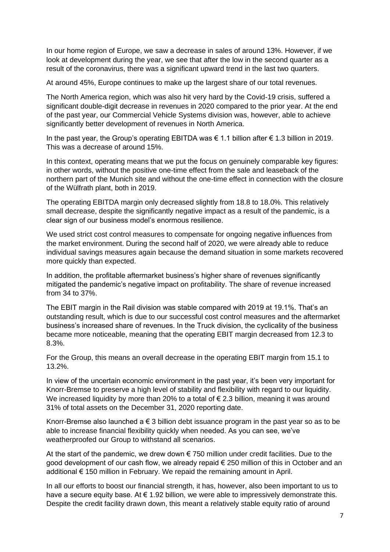In our home region of Europe, we saw a decrease in sales of around 13%. However, if we look at development during the year, we see that after the low in the second quarter as a result of the coronavirus, there was a significant upward trend in the last two quarters.

At around 45%, Europe continues to make up the largest share of our total revenues.

The North America region, which was also hit very hard by the Covid-19 crisis, suffered a significant double-digit decrease in revenues in 2020 compared to the prior year. At the end of the past year, our Commercial Vehicle Systems division was, however, able to achieve significantly better development of revenues in North America.

In the past year, the Group's operating EBITDA was  $\epsilon$  1.1 billion after  $\epsilon$  1.3 billion in 2019. This was a decrease of around 15%.

In this context, operating means that we put the focus on genuinely comparable key figures: in other words, without the positive one-time effect from the sale and leaseback of the northern part of the Munich site and without the one-time effect in connection with the closure of the Wülfrath plant, both in 2019.

The operating EBITDA margin only decreased slightly from 18.8 to 18.0%. This relatively small decrease, despite the significantly negative impact as a result of the pandemic, is a clear sign of our business model's enormous resilience.

We used strict cost control measures to compensate for ongoing negative influences from the market environment. During the second half of 2020, we were already able to reduce individual savings measures again because the demand situation in some markets recovered more quickly than expected.

In addition, the profitable aftermarket business's higher share of revenues significantly mitigated the pandemic's negative impact on profitability. The share of revenue increased from 34 to 37%.

The EBIT margin in the Rail division was stable compared with 2019 at 19.1%. That's an outstanding result, which is due to our successful cost control measures and the aftermarket business's increased share of revenues. In the Truck division, the cyclicality of the business became more noticeable, meaning that the operating EBIT margin decreased from 12.3 to 8.3%.

For the Group, this means an overall decrease in the operating EBIT margin from 15.1 to 13.2%.

In view of the uncertain economic environment in the past year, it's been very important for Knorr-Bremse to preserve a high level of stability and flexibility with regard to our liquidity. We increased liquidity by more than 20% to a total of € 2.3 billion, meaning it was around 31% of total assets on the December 31, 2020 reporting date.

Knorr-Bremse also launched a  $\epsilon$  3 billion debt issuance program in the past year so as to be able to increase financial flexibility quickly when needed. As you can see, we've weatherproofed our Group to withstand all scenarios.

At the start of the pandemic, we drew down  $\epsilon$  750 million under credit facilities. Due to the good development of our cash flow, we already repaid € 250 million of this in October and an additional € 150 million in February. We repaid the remaining amount in April.

In all our efforts to boost our financial strength, it has, however, also been important to us to have a secure equity base. At  $\epsilon$  1.92 billion, we were able to impressively demonstrate this. Despite the credit facility drawn down, this meant a relatively stable equity ratio of around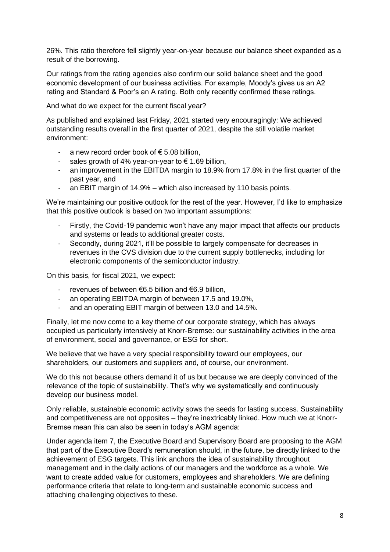26%. This ratio therefore fell slightly year-on-year because our balance sheet expanded as a result of the borrowing.

Our ratings from the rating agencies also confirm our solid balance sheet and the good economic development of our business activities. For example, Moody's gives us an A2 rating and Standard & Poor's an A rating. Both only recently confirmed these ratings.

And what do we expect for the current fiscal year?

As published and explained last Friday, 2021 started very encouragingly: We achieved outstanding results overall in the first quarter of 2021, despite the still volatile market environment:

- a new record order book of  $\epsilon$  5.08 billion.
- sales growth of 4% year-on-year to  $\epsilon$  1.69 billion,
- an improvement in the EBITDA margin to 18.9% from 17.8% in the first quarter of the past year, and
- an EBIT margin of 14.9% which also increased by 110 basis points.

We're maintaining our positive outlook for the rest of the year. However, I'd like to emphasize that this positive outlook is based on two important assumptions:

- Firstly, the Covid-19 pandemic won't have any major impact that affects our products and systems or leads to additional greater costs.
- Secondly, during 2021, it'll be possible to largely compensate for decreases in revenues in the CVS division due to the current supply bottlenecks, including for electronic components of the semiconductor industry.

On this basis, for fiscal 2021, we expect:

- revenues of between €6.5 billion and €6.9 billion,
- an operating EBITDA margin of between 17.5 and 19.0%,
- and an operating EBIT margin of between 13.0 and 14.5%.

Finally, let me now come to a key theme of our corporate strategy, which has always occupied us particularly intensively at Knorr-Bremse: our sustainability activities in the area of environment, social and governance, or ESG for short.

We believe that we have a very special responsibility toward our employees, our shareholders, our customers and suppliers and, of course, our environment.

We do this not because others demand it of us but because we are deeply convinced of the relevance of the topic of sustainability. That's why we systematically and continuously develop our business model.

Only reliable, sustainable economic activity sows the seeds for lasting success. Sustainability and competitiveness are not opposites – they're inextricably linked. How much we at Knorr-Bremse mean this can also be seen in today's AGM agenda:

Under agenda item 7, the Executive Board and Supervisory Board are proposing to the AGM that part of the Executive Board's remuneration should, in the future, be directly linked to the achievement of ESG targets. This link anchors the idea of sustainability throughout management and in the daily actions of our managers and the workforce as a whole. We want to create added value for customers, employees and shareholders. We are defining performance criteria that relate to long-term and sustainable economic success and attaching challenging objectives to these.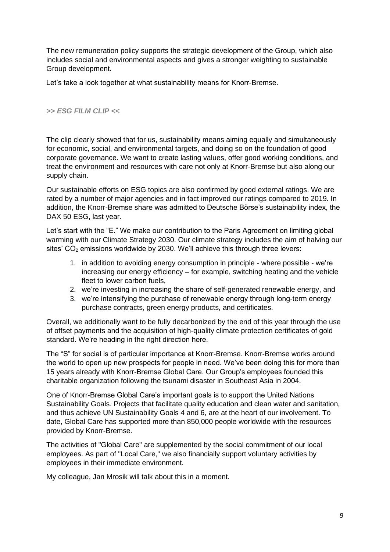The new remuneration policy supports the strategic development of the Group, which also includes social and environmental aspects and gives a stronger weighting to sustainable Group development.

Let's take a look together at what sustainability means for Knorr-Bremse.

#### *>> ESG FILM CLIP <<*

The clip clearly showed that for us, sustainability means aiming equally and simultaneously for economic, social, and environmental targets, and doing so on the foundation of good corporate governance. We want to create lasting values, offer good working conditions, and treat the environment and resources with care not only at Knorr-Bremse but also along our supply chain.

Our sustainable efforts on ESG topics are also confirmed by good external ratings. We are rated by a number of major agencies and in fact improved our ratings compared to 2019. In addition, the Knorr-Bremse share was admitted to Deutsche Börse's sustainability index, the DAX 50 ESG, last year.

Let's start with the "E." We make our contribution to the Paris Agreement on limiting global warming with our Climate Strategy 2030. Our climate strategy includes the aim of halving our sites'  $CO<sub>2</sub>$  emissions worldwide by 2030. We'll achieve this through three levers:

- 1. in addition to avoiding energy consumption in principle where possible we're increasing our energy efficiency – for example, switching heating and the vehicle fleet to lower carbon fuels,
- 2. we're investing in increasing the share of self-generated renewable energy, and
- 3. we're intensifying the purchase of renewable energy through long-term energy purchase contracts, green energy products, and certificates.

Overall, we additionally want to be fully decarbonized by the end of this year through the use of offset payments and the acquisition of high-quality climate protection certificates of gold standard. We're heading in the right direction here.

The "S" for social is of particular importance at Knorr-Bremse. Knorr-Bremse works around the world to open up new prospects for people in need. We've been doing this for more than 15 years already with Knorr-Bremse Global Care. Our Group's employees founded this charitable organization following the tsunami disaster in Southeast Asia in 2004.

One of Knorr-Bremse Global Care's important goals is to support the United Nations Sustainability Goals. Projects that facilitate quality education and clean water and sanitation, and thus achieve UN Sustainability Goals 4 and 6, are at the heart of our involvement. To date, Global Care has supported more than 850,000 people worldwide with the resources provided by Knorr-Bremse.

The activities of "Global Care" are supplemented by the social commitment of our local employees. As part of "Local Care," we also financially support voluntary activities by employees in their immediate environment.

My colleague, Jan Mrosik will talk about this in a moment.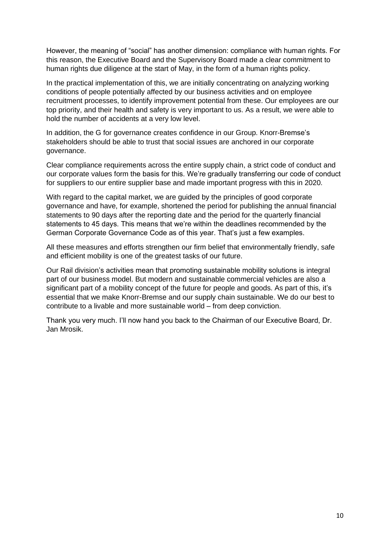However, the meaning of "social" has another dimension: compliance with human rights. For this reason, the Executive Board and the Supervisory Board made a clear commitment to human rights due diligence at the start of May, in the form of a human rights policy.

In the practical implementation of this, we are initially concentrating on analyzing working conditions of people potentially affected by our business activities and on employee recruitment processes, to identify improvement potential from these. Our employees are our top priority, and their health and safety is very important to us. As a result, we were able to hold the number of accidents at a very low level.

In addition, the G for governance creates confidence in our Group. Knorr-Bremse's stakeholders should be able to trust that social issues are anchored in our corporate governance.

Clear compliance requirements across the entire supply chain, a strict code of conduct and our corporate values form the basis for this. We're gradually transferring our code of conduct for suppliers to our entire supplier base and made important progress with this in 2020.

With regard to the capital market, we are guided by the principles of good corporate governance and have, for example, shortened the period for publishing the annual financial statements to 90 days after the reporting date and the period for the quarterly financial statements to 45 days. This means that we're within the deadlines recommended by the German Corporate Governance Code as of this year. That's just a few examples.

All these measures and efforts strengthen our firm belief that environmentally friendly, safe and efficient mobility is one of the greatest tasks of our future.

Our Rail division's activities mean that promoting sustainable mobility solutions is integral part of our business model. But modern and sustainable commercial vehicles are also a significant part of a mobility concept of the future for people and goods. As part of this, it's essential that we make Knorr-Bremse and our supply chain sustainable. We do our best to contribute to a livable and more sustainable world – from deep conviction.

Thank you very much. I'll now hand you back to the Chairman of our Executive Board, Dr. Jan Mrosik.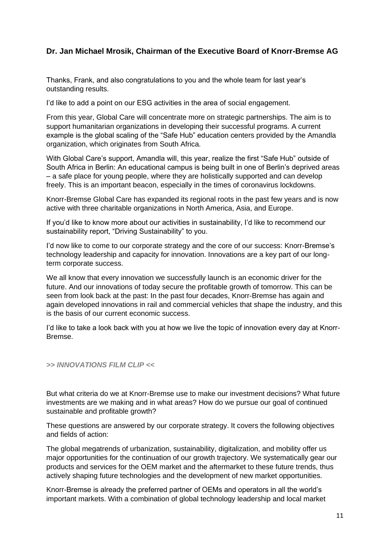## **Dr. Jan Michael Mrosik, Chairman of the Executive Board of Knorr-Bremse AG**

Thanks, Frank, and also congratulations to you and the whole team for last year's outstanding results.

I'd like to add a point on our ESG activities in the area of social engagement.

From this year, Global Care will concentrate more on strategic partnerships. The aim is to support humanitarian organizations in developing their successful programs. A current example is the global scaling of the "Safe Hub" education centers provided by the Amandla organization, which originates from South Africa.

With Global Care's support, Amandla will, this year, realize the first "Safe Hub" outside of South Africa in Berlin: An educational campus is being built in one of Berlin's deprived areas – a safe place for young people, where they are holistically supported and can develop freely. This is an important beacon, especially in the times of coronavirus lockdowns.

Knorr-Bremse Global Care has expanded its regional roots in the past few years and is now active with three charitable organizations in North America, Asia, and Europe.

If you'd like to know more about our activities in sustainability, I'd like to recommend our sustainability report, "Driving Sustainability" to you.

I'd now like to come to our corporate strategy and the core of our success: Knorr-Bremse's technology leadership and capacity for innovation. Innovations are a key part of our longterm corporate success.

We all know that every innovation we successfully launch is an economic driver for the future. And our innovations of today secure the profitable growth of tomorrow. This can be seen from look back at the past: In the past four decades, Knorr-Bremse has again and again developed innovations in rail and commercial vehicles that shape the industry, and this is the basis of our current economic success.

I'd like to take a look back with you at how we live the topic of innovation every day at Knorr-Bremse.

#### *>> INNOVATIONS FILM CLIP <<*

But what criteria do we at Knorr-Bremse use to make our investment decisions? What future investments are we making and in what areas? How do we pursue our goal of continued sustainable and profitable growth?

These questions are answered by our corporate strategy. It covers the following objectives and fields of action:

The global megatrends of urbanization, sustainability, digitalization, and mobility offer us major opportunities for the continuation of our growth trajectory. We systematically gear our products and services for the OEM market and the aftermarket to these future trends, thus actively shaping future technologies and the development of new market opportunities.

Knorr-Bremse is already the preferred partner of OEMs and operators in all the world's important markets. With a combination of global technology leadership and local market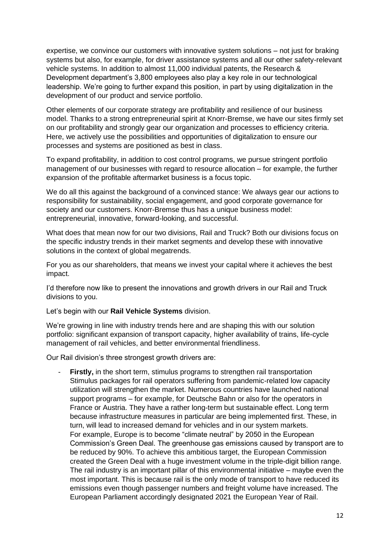expertise, we convince our customers with innovative system solutions – not just for braking systems but also, for example, for driver assistance systems and all our other safety-relevant vehicle systems. In addition to almost 11,000 individual patents, the Research & Development department's 3,800 employees also play a key role in our technological leadership. We're going to further expand this position, in part by using digitalization in the development of our product and service portfolio.

Other elements of our corporate strategy are profitability and resilience of our business model. Thanks to a strong entrepreneurial spirit at Knorr-Bremse, we have our sites firmly set on our profitability and strongly gear our organization and processes to efficiency criteria. Here, we actively use the possibilities and opportunities of digitalization to ensure our processes and systems are positioned as best in class.

To expand profitability, in addition to cost control programs, we pursue stringent portfolio management of our businesses with regard to resource allocation – for example, the further expansion of the profitable aftermarket business is a focus topic.

We do all this against the background of a convinced stance: We always gear our actions to responsibility for sustainability, social engagement, and good corporate governance for society and our customers. Knorr-Bremse thus has a unique business model: entrepreneurial, innovative, forward-looking, and successful.

What does that mean now for our two divisions, Rail and Truck? Both our divisions focus on the specific industry trends in their market segments and develop these with innovative solutions in the context of global megatrends.

For you as our shareholders, that means we invest your capital where it achieves the best impact.

I'd therefore now like to present the innovations and growth drivers in our Rail and Truck divisions to you.

Let's begin with our **Rail Vehicle Systems** division.

We're growing in line with industry trends here and are shaping this with our solution portfolio: significant expansion of transport capacity, higher availability of trains, life-cycle management of rail vehicles, and better environmental friendliness.

Our Rail division's three strongest growth drivers are:

**Firstly,** in the short term, stimulus programs to strengthen rail transportation Stimulus packages for rail operators suffering from pandemic-related low capacity utilization will strengthen the market. Numerous countries have launched national support programs – for example, for Deutsche Bahn or also for the operators in France or Austria. They have a rather long-term but sustainable effect. Long term because infrastructure measures in particular are being implemented first. These, in turn, will lead to increased demand for vehicles and in our system markets. For example, Europe is to become "climate neutral" by 2050 in the European Commission's Green Deal. The greenhouse gas emissions caused by transport are to be reduced by 90%. To achieve this ambitious target, the European Commission created the Green Deal with a huge investment volume in the triple-digit billion range. The rail industry is an important pillar of this environmental initiative – maybe even the most important. This is because rail is the only mode of transport to have reduced its emissions even though passenger numbers and freight volume have increased. The European Parliament accordingly designated 2021 the European Year of Rail.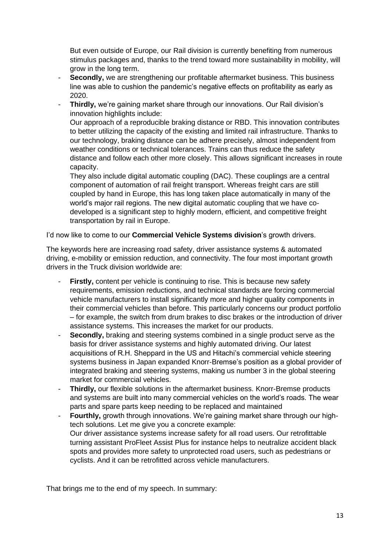But even outside of Europe, our Rail division is currently benefiting from numerous stimulus packages and, thanks to the trend toward more sustainability in mobility, will grow in the long term.

- **Secondly,** we are strengthening our profitable aftermarket business. This business line was able to cushion the pandemic's negative effects on profitability as early as 2020.
- **Thirdly,** we're gaining market share through our innovations. Our Rail division's innovation highlights include: Our approach of a reproducible braking distance or RBD. This innovation contributes to better utilizing the capacity of the existing and limited rail infrastructure. Thanks to our technology, braking distance can be adhere precisely, almost independent from weather conditions or technical tolerances. Trains can thus reduce the safety distance and follow each other more closely. This allows significant increases in route capacity.

They also include digital automatic coupling (DAC). These couplings are a central component of automation of rail freight transport. Whereas freight cars are still coupled by hand in Europe, this has long taken place automatically in many of the world's major rail regions. The new digital automatic coupling that we have codeveloped is a significant step to highly modern, efficient, and competitive freight transportation by rail in Europe.

I'd now like to come to our **Commercial Vehicle Systems division**'s growth drivers.

The keywords here are increasing road safety, driver assistance systems & automated driving, e-mobility or emission reduction, and connectivity. The four most important growth drivers in the Truck division worldwide are:

- **Firstly,** content per vehicle is continuing to rise. This is because new safety requirements, emission reductions, and technical standards are forcing commercial vehicle manufacturers to install significantly more and higher quality components in their commercial vehicles than before. This particularly concerns our product portfolio – for example, the switch from drum brakes to disc brakes or the introduction of driver assistance systems. This increases the market for our products.
- **Secondly,** braking and steering systems combined in a single product serve as the basis for driver assistance systems and highly automated driving. Our latest acquisitions of R.H. Sheppard in the US and Hitachi's commercial vehicle steering systems business in Japan expanded Knorr-Bremse's position as a global provider of integrated braking and steering systems, making us number 3 in the global steering market for commercial vehicles.
- **Thirdly, our flexible solutions in the aftermarket business. Knorr-Bremse products** and systems are built into many commercial vehicles on the world's roads. The wear parts and spare parts keep needing to be replaced and maintained
- **Fourthly,** growth through innovations. We're gaining market share through our hightech solutions. Let me give you a concrete example: Our driver assistance systems increase safety for all road users. Our retrofittable turning assistant ProFleet Assist Plus for instance helps to neutralize accident black spots and provides more safety to unprotected road users, such as pedestrians or cyclists. And it can be retrofitted across vehicle manufacturers.

That brings me to the end of my speech. In summary: